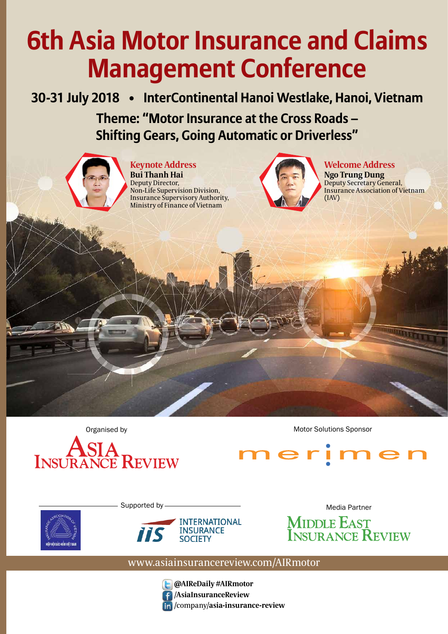# **6th Asia Motor Insurance and Claims Management Conference**

**30-31 July 2018 • InterContinental Hanoi Westlake, Hanoi, Vietnam Theme: "Motor Insurance at the Cross Roads – Shifting Gears, Going Automatic or Driverless"**



**Keynote Address Bui Thanh Hai** Deputy Director, Non-Life Supervision Division, Insurance Supervisory Authority, Ministry of Finance of Vietnam



**Welcome Address Ngo Trung Dung**

Deputy Secretary General, Insurance Association of Vietnam (IAV)

Organised by **Motor Solutions Sponsor** Motor Solutions Sponsor





Supported by-





Media Partner **MIDDLE EAST<br>INSURANCE REVIEW** 

### www.asiainsurancereview.com/AIRmotor



**@AIReDaily #AIRmotor** /**AsiaInsuranceReview** /company/**asia-insurance-review**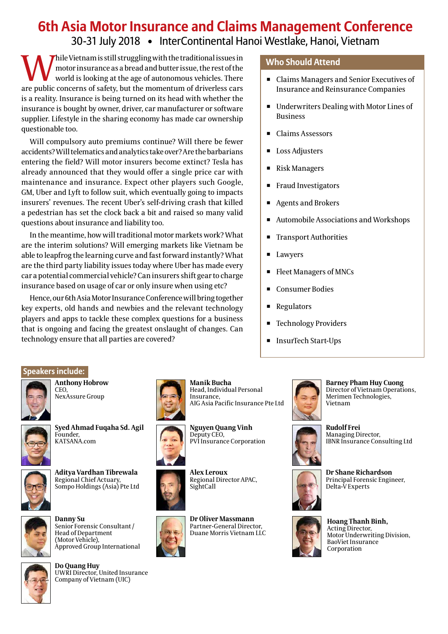## **6th Asia Motor Insurance and Claims Management Conference** 30-31 July 2018 • InterContinental Hanoi Westlake, Hanoi, Vietnam

While Vietnam is still struggling with the traditional issues in<br>motor insurance as a bread and butter issue, the rest of the<br>world is looking at the age of autonomous vehicles. There<br>are public concerns of safety, but the motor insurance as a bread and butter issue, the rest of the world is looking at the age of autonomous vehicles. There are public concerns of safety, but the momentum of driverless cars is a reality. Insurance is being turned on its head with whether the insurance is bought by owner, driver, car manufacturer or software supplier. Lifestyle in the sharing economy has made car ownership questionable too.

Will compulsory auto premiums continue? Will there be fewer accidents? Will telematics and analytics take over? Are the barbarians entering the field? Will motor insurers become extinct? Tesla has already announced that they would offer a single price car with maintenance and insurance. Expect other players such Google, GM, Uber and Lyft to follow suit, which eventually going to impacts insurers' revenues. The recent Uber's self-driving crash that killed a pedestrian has set the clock back a bit and raised so many valid questions about insurance and liability too.

In the meantime, how will traditional motor markets work? What are the interim solutions? Will emerging markets like Vietnam be able to leapfrog the learning curve and fast forward instantly? What are the third party liability issues today where Uber has made every car a potential commercial vehicle? Can insurers shift gear to charge insurance based on usage of car or only insure when using etc?

Hence, our 6th Asia Motor Insurance Conference will bring together key experts, old hands and newbies and the relevant technology players and apps to tackle these complex questions for a business that is ongoing and facing the greatest onslaught of changes. Can technology ensure that all parties are covered?

#### **Who Should Attend**

- Claims Managers and Senior Executives of Insurance and Reinsurance Companies
- Underwriters Dealing with Motor Lines of Business
- Claims Assessors
- Loss Adjusters
- Risk Managers
- Fraud Investigators
- **Agents and Brokers**
- ◾ Automobile Associations and Workshops
- Transport Authorities
- Lawyers
- Fleet Managers of MNCs
- ◾ Consumer Bodies
- Regulators
- Technology Providers
- InsurTech Start-Ups

#### **Speakers include:**



**Anthony Hobrow** CEO, NexAssure Group



**Syed Ahmad Fuqaha Sd. Agil** Founder, KATSANA.com



**Aditya Vardhan Tibrewala** Regional Chief Actuary, Sompo Holdings (Asia) Pte Ltd



**Danny Su** Senior Forensic Consultant / Head of Department (Motor Vehicle), Approved Group International



**Do Quang Huy** UWRI Director, United Insurance Company of Vietnam (UIC)



Insurance, AIG Asia Pacific Insurance Pte Ltd



**Nguyen Quang Vinh** Deputy CEO, PVI Insurance Corporation

Head, Individual Personal



**Manik Bucha**

Regional Director APAC,



**Dr Oliver Massmann** Partner-General Director, Duane Morris Vietnam LLC



**Barney Pham Huy Cuong** Director of Vietnam Operations, Merimen Technologies, Vietnam



**Rudolf Frei** Managing Director, IBNR Insurance Consulting Ltd



**Dr Shane Richardson** Principal Forensic Engineer, Delta-V Experts



**Hoang Thanh Binh,** Acting Director, Motor Underwriting Division, BaoViet Insurance Corporation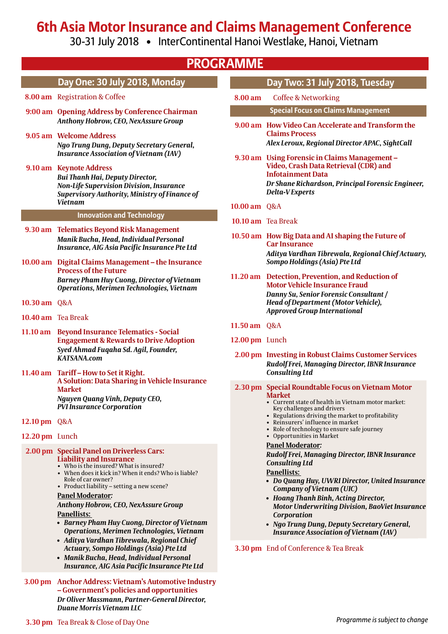## **6th Asia Motor Insurance and Claims Management Conference**

30-31 July 2018 • InterContinental Hanoi Westlake, Hanoi, Vietnam

| <b>PROGRAMME</b>   |                                                                                                                                                                                                                                                                                                                                                                                                                                                                                                                                                                                                                                     |                |                                                                                                                                                                                                                                                                                                                                                                                       |  |
|--------------------|-------------------------------------------------------------------------------------------------------------------------------------------------------------------------------------------------------------------------------------------------------------------------------------------------------------------------------------------------------------------------------------------------------------------------------------------------------------------------------------------------------------------------------------------------------------------------------------------------------------------------------------|----------------|---------------------------------------------------------------------------------------------------------------------------------------------------------------------------------------------------------------------------------------------------------------------------------------------------------------------------------------------------------------------------------------|--|
|                    | Day One: 30 July 2018, Monday                                                                                                                                                                                                                                                                                                                                                                                                                                                                                                                                                                                                       |                | Day Two: 31 July 2018, Tuesday                                                                                                                                                                                                                                                                                                                                                        |  |
|                    | 8.00 am Registration & Coffee                                                                                                                                                                                                                                                                                                                                                                                                                                                                                                                                                                                                       | 8.00 am        | <b>Coffee &amp; Networking</b>                                                                                                                                                                                                                                                                                                                                                        |  |
|                    | 9:00 am Opening Address by Conference Chairman                                                                                                                                                                                                                                                                                                                                                                                                                                                                                                                                                                                      |                | <b>Special Focus on Claims Management</b>                                                                                                                                                                                                                                                                                                                                             |  |
|                    | Anthony Hobrow, CEO, NexAssure Group<br>9.05 am Welcome Address<br>Ngo Trung Dung, Deputy Secretary General,<br><b>Insurance Association of Vietnam (IAV)</b>                                                                                                                                                                                                                                                                                                                                                                                                                                                                       |                | 9.00 am How Video Can Accelerate and Transform the<br><b>Claims Process</b><br>Alex Leroux, Regional Director APAC, SightCall                                                                                                                                                                                                                                                         |  |
|                    | 9.10 am Keynote Address<br>Bui Thanh Hai, Deputy Director,<br><b>Non-Life Supervision Division, Insurance</b><br>Supervisory Authority, Ministry of Finance of<br><b>Vietnam</b>                                                                                                                                                                                                                                                                                                                                                                                                                                                    | 10.00 am Q&A   | 9.30 am Using Forensic in Claims Management -<br>Video, Crash Data Retrieval (CDR) and<br><b>Infotainment Data</b><br>Dr Shane Richardson, Principal Forensic Engineer,<br>Delta-VExperts                                                                                                                                                                                             |  |
|                    | <b>Innovation and Technology</b>                                                                                                                                                                                                                                                                                                                                                                                                                                                                                                                                                                                                    |                |                                                                                                                                                                                                                                                                                                                                                                                       |  |
|                    | 9.30 am Telematics Beyond Risk Management                                                                                                                                                                                                                                                                                                                                                                                                                                                                                                                                                                                           |                | 10.10 am Tea Break                                                                                                                                                                                                                                                                                                                                                                    |  |
|                    | Manik Bucha, Head, Individual Personal                                                                                                                                                                                                                                                                                                                                                                                                                                                                                                                                                                                              |                | 10.50 am How Big Data and AI shaping the Future of<br><b>Car Insurance</b>                                                                                                                                                                                                                                                                                                            |  |
|                    | Insurance, AIG Asia Pacific Insurance Pte Ltd<br>10.00 am Digital Claims Management - the Insurance<br><b>Process of the Future</b>                                                                                                                                                                                                                                                                                                                                                                                                                                                                                                 |                | Aditya Vardhan Tibrewala, Regional Chief Actuary,<br>Sompo Holdings (Asia) Pte Ltd                                                                                                                                                                                                                                                                                                    |  |
|                    | <b>Barney Pham Huy Cuong, Director of Vietnam</b><br>Operations, Merimen Technologies, Vietnam                                                                                                                                                                                                                                                                                                                                                                                                                                                                                                                                      |                | 11.20 am Detection, Prevention, and Reduction of<br><b>Motor Vehicle Insurance Fraud</b>                                                                                                                                                                                                                                                                                              |  |
| 10.30 am Q&A       |                                                                                                                                                                                                                                                                                                                                                                                                                                                                                                                                                                                                                                     |                | Danny Su, Senior Forensic Consultant /<br>Head of Department (Motor Vehicle),<br><b>Approved Group International</b>                                                                                                                                                                                                                                                                  |  |
| 10.40 am Tea Break |                                                                                                                                                                                                                                                                                                                                                                                                                                                                                                                                                                                                                                     | 11.50 am Q&A   |                                                                                                                                                                                                                                                                                                                                                                                       |  |
|                    | 11.10 am Beyond Insurance Telematics - Social<br><b>Engagement &amp; Rewards to Drive Adoption</b>                                                                                                                                                                                                                                                                                                                                                                                                                                                                                                                                  | 12.00 pm Lunch |                                                                                                                                                                                                                                                                                                                                                                                       |  |
|                    | Syed Ahmad Fuqaha Sd. Agil, Founder,<br><b>KATSANA.com</b>                                                                                                                                                                                                                                                                                                                                                                                                                                                                                                                                                                          |                | 2.00 pm Investing in Robust Claims Customer Services<br>Rudolf Frei, Managing Director, IBNR Insurance                                                                                                                                                                                                                                                                                |  |
|                    | 11.40 am Tariff - How to Set it Right.<br>A Solution: Data Sharing in Vehicle Insurance<br><b>Market</b><br>Nguyen Quang Vinh, Deputy CEO,<br><b>PVI Insurance Corporation</b>                                                                                                                                                                                                                                                                                                                                                                                                                                                      |                | <b>Consulting Ltd</b><br>2.30 pm Special Roundtable Focus on Vietnam Motor<br><b>Market</b><br>• Current state of health in Vietnam motor market:<br>Key challenges and drivers<br>• Regulations driving the market to profitability                                                                                                                                                  |  |
| 12.10 pm Q&A       |                                                                                                                                                                                                                                                                                                                                                                                                                                                                                                                                                                                                                                     |                | • Reinsurers' influence in market<br>• Role of technology to ensure safe journey                                                                                                                                                                                                                                                                                                      |  |
| 12.20 pm Lunch     |                                                                                                                                                                                                                                                                                                                                                                                                                                                                                                                                                                                                                                     |                | • Opportunities in Market<br><b>Panel Moderator:</b>                                                                                                                                                                                                                                                                                                                                  |  |
|                    | 2.00 pm Special Panel on Driverless Cars:<br><b>Liability and Insurance</b><br>• Who is the insured? What is insured?<br>• When does it kick in? When it ends? Who is liable?<br>Role of car owner?<br>• Product liability - setting a new scene?<br><b>Panel Moderator:</b><br>Anthony Hobrow, CEO, NexAssure Group<br><b>Panellists:</b><br>• Barney Pham Huy Cuong, Director of Vietnam<br><b>Operations, Merimen Technologies, Vietnam</b><br>· Aditya Vardhan Tibrewala, Regional Chief<br>Actuary, Sompo Holdings (Asia) Pte Ltd<br>• Manik Bucha, Head, Individual Personal<br>Insurance, AIG Asia Pacific Insurance Pte Ltd |                | Rudolf Frei, Managing Director, IBNR Insurance<br><b>Consulting Ltd</b><br><b>Panellists:</b><br>• Do Quang Huy, UWRI Director, United Insurance<br>Company of Vietnam (UIC)<br>• Hoang Thanh Binh, Acting Director,<br><b>Motor Underwriting Division, BaoViet Insurance</b><br>Corporation<br>• Ngo Trung Dung, Deputy Secretary General,<br>Insurance Association of Vietnam (IAV) |  |
|                    |                                                                                                                                                                                                                                                                                                                                                                                                                                                                                                                                                                                                                                     |                | 3.30 pm End of Conference & Tea Break                                                                                                                                                                                                                                                                                                                                                 |  |
|                    | 3.00 pm Anchor Address: Vietnam's Automotive Industry<br>- Government's policies and opportunities<br>Dr Oliver Massmann, Partner-General Director,<br>Duane Morris Vietnam LLC                                                                                                                                                                                                                                                                                                                                                                                                                                                     |                |                                                                                                                                                                                                                                                                                                                                                                                       |  |